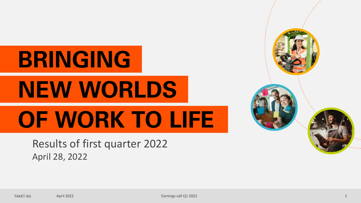# **BRINGING NEW WORLDS** OF WORK TO LIFE

Results of first quarter 2022 April 28, 2022

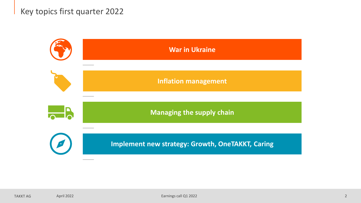### Key topics first quarter 2022

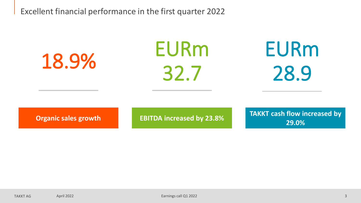Excellent financial performance in the first quarter 2022

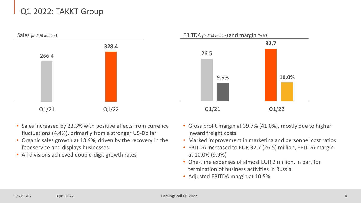# Q1 2022: TAKKT Group



- Sales increased by 23.3% with positive effects from currency fluctuations (4.4%), primarily from a stronger US-Dollar
- Organic sales growth at 18.9%, driven by the recovery in the foodservice and displays businesses
- All divisions achieved double-digit growth rates
- Gross profit margin at 39.7% (41.0%), mostly due to higher inward freight costs
- Marked improvement in marketing and personnel cost ratios
- EBITDA increased to EUR 32.7 (26.5) million, EBITDA margin at 10.0% (9.9%)
- One-time expenses of almost EUR 2 million, in part for termination of business activities in Russia
- Adjusted EBITDA margin at 10.5%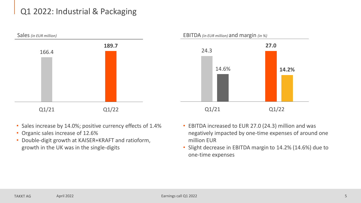# Q1 2022: Industrial & Packaging



- Sales increase by 14.0%; positive currency effects of 1.4%
- Organic sales increase of 12.6%
- Double-digit growth at KAISER+KRAFT and ratioform, growth in the UK was in the single-digits
- EBITDA increased to EUR 27.0 (24.3) million and was negatively impacted by one-time expenses of around one million EUR
- Slight decrease in EBITDA margin to 14.2% (14.6%) due to one-time expenses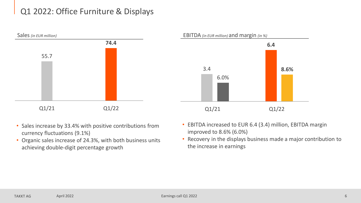# Q1 2022: Office Furniture & Displays



- Sales increase by 33.4% with positive contributions from currency fluctuations (9.1%)
- Organic sales increase of 24.3%, with both business units achieving double-digit percentage growth



- EBITDA increased to EUR 6.4 (3.4) million, EBITDA margin improved to 8.6% (6.0%)
- Recovery in the displays business made a major contribution to the increase in earnings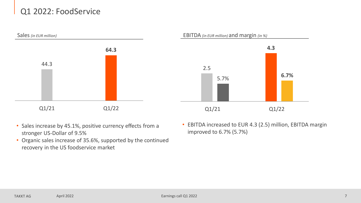# Q1 2022: FoodService



- Sales increase by 45.1%, positive currency effects from a stronger US-Dollar of 9.5%
- Organic sales increase of 35.6%, supported by the continued recovery in the US foodservice market
- EBITDA increased to EUR 4.3 (2.5) million, EBITDA margin improved to 6.7% (5.7%)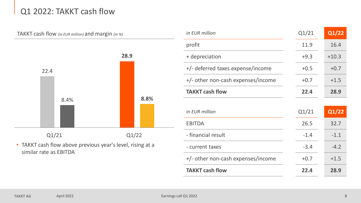## Q1 2022: TAKKT cash flow



• TAKKT cash flow above previous year's level, rising at a similar rate as EBITDA

| in EUR million                     | Q1/21  | Q1/22   |
|------------------------------------|--------|---------|
| profit                             | 11.9   | 16.4    |
| + depreciation                     | $+9.3$ | $+10.3$ |
| +/- deferred taxes expense/income  | $+0.5$ | $+0.7$  |
| +/- other non-cash expenses/income | $+0.7$ | $+1.5$  |
| <b>TAKKT cash flow</b>             | 22.4   | 28.9    |
|                                    |        |         |
|                                    |        |         |
| in EUR million                     | Q1/21  | Q1/22   |
| <b>EBITDA</b>                      | 26.5   | 32.7    |
| - financial result                 | $-1.4$ | $-1.1$  |
| - current taxes                    | $-3.4$ | $-4.2$  |
| +/- other non-cash expenses/income | $+0.7$ | $+1.5$  |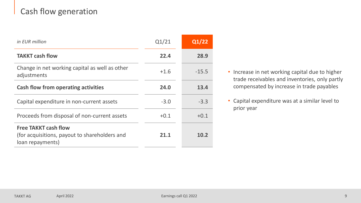# Cash flow generation

| in EUR million                                                                                   | Q1/21  | Q1/22   |
|--------------------------------------------------------------------------------------------------|--------|---------|
| <b>TAKKT cash flow</b>                                                                           | 22.4   | 28.9    |
| Change in net working capital as well as other<br>adjustments                                    | $+1.6$ | $-15.5$ |
| <b>Cash flow from operating activities</b>                                                       | 24.0   | 13.4    |
| Capital expenditure in non-current assets                                                        | $-3.0$ | $-3.3$  |
| Proceeds from disposal of non-current assets                                                     | $+0.1$ | $+0.1$  |
| <b>Free TAKKT cash flow</b><br>(for acquisitions, payout to shareholders and<br>loan repayments) | 21.1   | 10.2    |

- Increase in net working capital due to higher trade receivables and inventories, only partly compensated by increase in trade payables
- Capital expenditure was at a similar level to prior year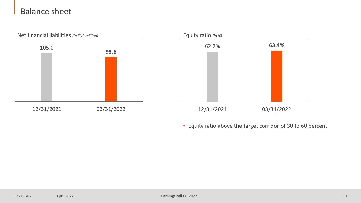### Balance sheet



• Equity ratio above the target corridor of 30 to 60 percent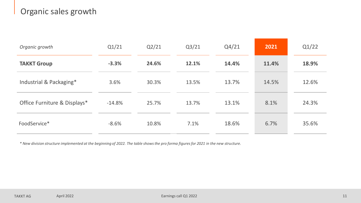# Organic sales growth

| Organic growth               | Q1/21    | Q2/21 | Q3/21 | Q4/21 | 2021  | Q1/22 |
|------------------------------|----------|-------|-------|-------|-------|-------|
| <b>TAKKT Group</b>           | $-3.3%$  | 24.6% | 12.1% | 14.4% | 11.4% | 18.9% |
| Industrial & Packaging*      | 3.6%     | 30.3% | 13.5% | 13.7% | 14.5% | 12.6% |
| Office Furniture & Displays* | $-14.8%$ | 25.7% | 13.7% | 13.1% | 8.1%  | 24.3% |
| FoodService*                 | $-8.6%$  | 10.8% | 7.1%  | 18.6% | 6.7%  | 35.6% |

*\* New division structure implemented at the beginning of 2022. The table shows the pro forma figures for 2021 in the new structure.*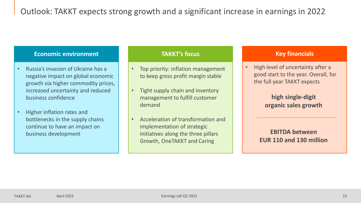### **Economic environment TAKKT's focus TAKKT's focus Key financials**

- Russia's invasion of Ukraine has a negative impact on global economic growth via higher commodity prices, increased uncertainty and reduced business confidence
- Higher inflation rates and bottlenecks in the supply chains continue to have an impact on business development

- Top priority: inflation management to keep gross profit margin stable
- Tight supply chain and inventory management to fulfill customer demand
- Acceleration of transformation and implementation of strategic initiatives along the three pillars Growth, OneTAKKT and Caring

• High level of uncertainty after a good start to the year. Overall, for the full year TAKKT expects

### **high single-digit organic sales growth**

### **EBITDA between EUR 110 and 130 million**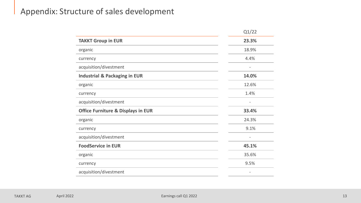### Appendix: Structure of sales development

|                                               | Q1/22 |
|-----------------------------------------------|-------|
| <b>TAKKT Group in EUR</b>                     | 23.3% |
| organic                                       | 18.9% |
| currency                                      | 4.4%  |
| acquisition/divestment                        |       |
| <b>Industrial &amp; Packaging in EUR</b>      | 14.0% |
| organic                                       | 12.6% |
| currency                                      | 1.4%  |
| acquisition/divestment                        |       |
| <b>Office Furniture &amp; Displays in EUR</b> | 33.4% |
| organic                                       | 24.3% |
| currency                                      | 9.1%  |
| acquisition/divestment                        |       |
| <b>FoodService in EUR</b>                     | 45.1% |
| organic                                       | 35.6% |
| currency                                      | 9.5%  |
| acquisition/divestment                        |       |